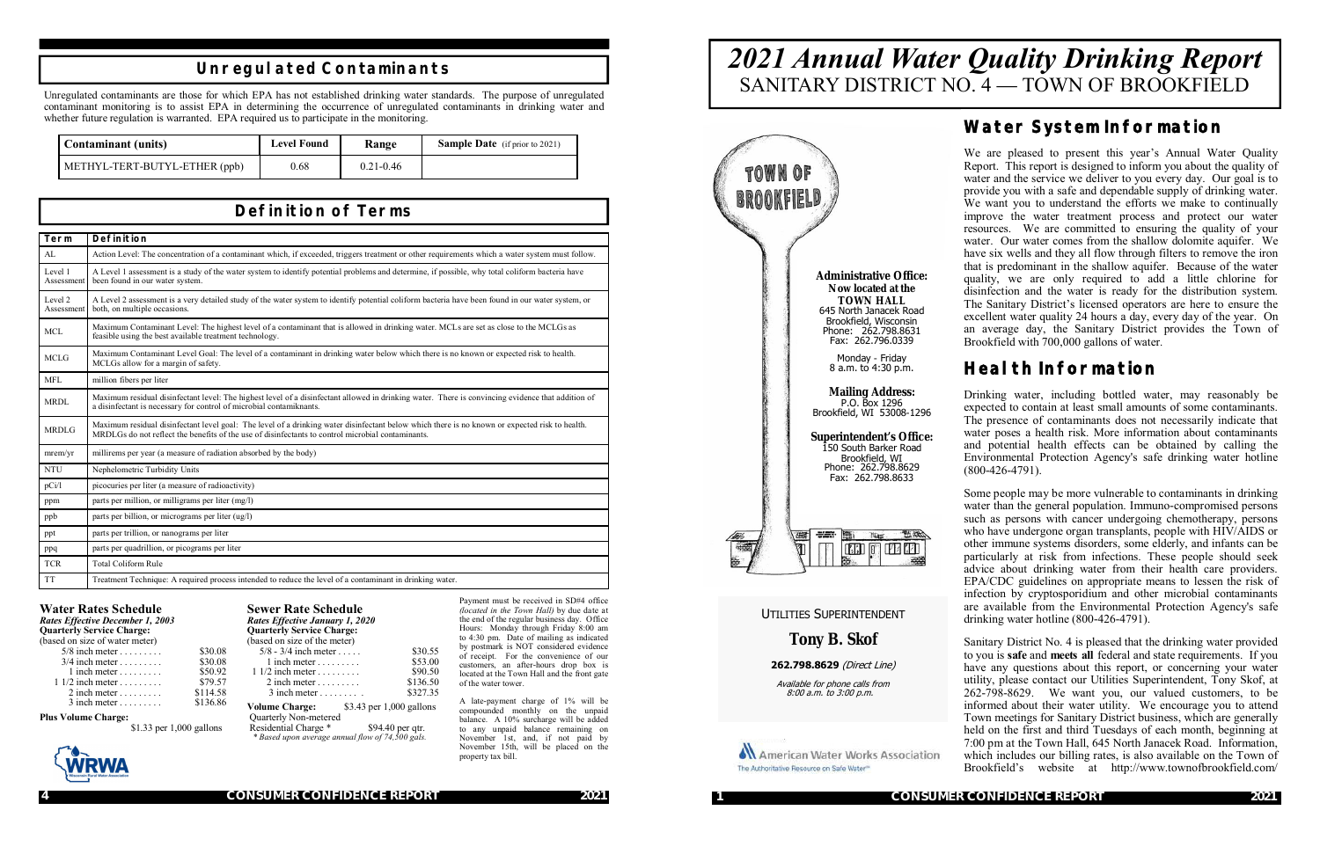**4 CONSUMER CONFIDENCE REPORT 2021**

### **Definition of Terms**

| Term                  | Definition                                                                                                                                                                                                                                          |
|-----------------------|-----------------------------------------------------------------------------------------------------------------------------------------------------------------------------------------------------------------------------------------------------|
| AL                    | Action Level: The concentration of a contaminant which, if exceeded, triggers treatment or other requirements which a water system must follow.                                                                                                     |
| Level 1<br>Assessment | A Level 1 assessment is a study of the water system to identify potential problems and determine, if possible, why total coliform bacteria have<br>been found in our water system.                                                                  |
| Level 2<br>Assessment | A Level 2 assessment is a very detailed study of the water system to identify potential coliform bacteria have been found in our water system, or<br>both, on multiple occasions.                                                                   |
| <b>MCL</b>            | Maximum Contaminant Level: The highest level of a contaminant that is allowed in drinking water. MCLs are set as close to the MCLGs as<br>feasible using the best available treatment technology.                                                   |
| MCLG                  | Maximum Contaminant Level Goal: The level of a contaminant in drinking water below which there is no known or expected risk to health.<br>MCLGs allow for a margin of safety.                                                                       |
| <b>MFL</b>            | million fibers per liter                                                                                                                                                                                                                            |
| MRDL                  | Maximum residual disinfectant level: The highest level of a disinfectant allowed in drinking water. There is convincing evidence that addition of<br>a disinfectant is necessary for control of microbial contamiknants.                            |
| <b>MRDLG</b>          | Maximum residual disinfectant level goal: The level of a drinking water disinfectant below which there is no known or expected risk to health.<br>MRDLGs do not reflect the benefits of the use of disinfectants to control microbial contaminants. |
| merm/yr               | millirems per year (a measure of radiation absorbed by the body)                                                                                                                                                                                    |
| <b>NTU</b>            | Nephelometric Turbidity Units                                                                                                                                                                                                                       |
| pCi/1                 | picocuries per liter (a measure of radioactivity)                                                                                                                                                                                                   |
| ppm                   | parts per million, or milligrams per liter (mg/l)                                                                                                                                                                                                   |
| ppb                   | parts per billion, or micrograms per liter (ug/l)                                                                                                                                                                                                   |
| ppt                   | parts per trillion, or nanograms per liter                                                                                                                                                                                                          |
| ppq                   | parts per quadrillion, or picograms per liter                                                                                                                                                                                                       |
| <b>TCR</b>            | <b>Total Coliform Rule</b>                                                                                                                                                                                                                          |
| <b>TT</b>             | Treatment Technique: A required process intended to reduce the level of a contaminant in drinking water.                                                                                                                                            |

**Volume Charge:** \$3.43 per 1,000 gallons Quarterly Non-metered Residential Charge \* \$94.40 per qtr.  *\* Based upon average annual flow of 74,500 gals.*

Unregulated contaminants are those for which EPA has not established drinking water standards. The purpose of unregulated contaminant monitoring is to assist EPA in determining the occurrence of unregulated contaminants in drinking water and whether future regulation is warranted. EPA required us to participate in the monitoring.

#### **Unregulated Contaminants**

| <b>Contaminant</b> (units)    | <b>Level Found</b> | Range         | <b>Sample Date</b> (if prior to 2021) |
|-------------------------------|--------------------|---------------|---------------------------------------|
| METHYL-TERT-BUTYL-ETHER (ppb) | 0.68               | $0.21 - 0.46$ |                                       |

#### **Water Rates Schedule**

*Rates Effective December 1, 2003* **Quarterly Service Charge:**  (based on size of water meter)

| $5/8$ inch meter                 | \$30.08  |
|----------------------------------|----------|
| $3/4$ inch meter                 | \$30.08  |
| $1$ inch meter                   | \$50.92  |
| $11/2$ inch meter                | \$79.57  |
| $2$ inch meter $\dots \dots$     | \$114.58 |
| $3$ inch meter $\dots\dots\dots$ | \$136.86 |

**Plus Volume Charge:**

\$1.33 per 1,000 gallons



\$30.08 \$30.08 \$50.92 \$79.57  $$114.58$ *Rates Effective January 1, 2020* **Quarterly Service Charge:**  (based on size of the meter) 5/8 - 3/4 inch meter . . . . . . . . \$30.55<br>1 inch meter . . . . . . . . . \$53.00 1 inch meter . . . . . . . . . \$53.00<br>  $\frac{1}{2}$  inch meter . . . . . . . . \$90.50  $1 \frac{1}{2}$  inch meter . . . . . . . . . 2 inch meter . . . . . . . . . . \$136.50<br>3 inch meter . . . . . . . . . \$327.35  $3$  inch meter  $\dots \dots$ 

**Sewer Rate Schedule**

Payment must be received in SD#4 office *(located in the Town Hall)* by due date at the end of the regular business day. Office Hours: Monday through Friday 8:00 am to 4:30 pm. Date of mailing as indicated by postmark is NOT considered evidence of receipt. For the convenience of our customers, an after-hours drop box is located at the Town Hall and the front gate of the water tower.

A late-payment charge of 1% will be compounded monthly on the unpaid balance. A 10% surcharge will be added to any unpaid balance remaining on November 1st, and, if not paid by November 15th, will be placed on the property tax bill.

**1 CONSUMER CONFIDENCE REPORT 2021**

# *2021 Annual Water Quality Drinking Report* SANITARY DISTRICT NO. 4 — TOWN OF BROOKFIELD



### **Water System Information**

We are pleased to present this year's Annual Water Quality Report. This report is designed to inform you about the quality of water and the service we deliver to you every day. Our goal is to provide you with a safe and dependable supply of drinking water. We want you to understand the efforts we make to continually improve the water treatment process and protect our water resources. We are committed to ensuring the quality of your water. Our water comes from the shallow dolomite aquifer. We have six wells and they all flow through filters to remove the iron that is predominant in the shallow aquifer. Because of the water quality, we are only required to add a little chlorine for disinfection and the water is ready for the distribution system. The Sanitary District's licensed operators are here to ensure the excellent water quality 24 hours a day, every day of the year. On an average day, the Sanitary District provides the Town of Brookfield with 700,000 gallons of water.

## **Health Information**

Drinking water, including bottled water, may reasonably be expected to contain at least small amounts of some contaminants. The presence of contaminants does not necessarily indicate that water poses a health risk. More information about contaminants and potential health effects can be obtained by calling the Environmental Protection Agency's safe drinking water hotline (800-426-4791).

Some people may be more vulnerable to contaminants in drinking water than the general population. Immuno-compromised persons such as persons with cancer undergoing chemotherapy, persons who have undergone organ transplants, people with HIV/AIDS or other immune systems disorders, some elderly, and infants can be particularly at risk from infections. These people should seek advice about drinking water from their health care providers. EPA/CDC guidelines on appropriate means to lessen the risk of infection by cryptosporidium and other microbial contaminants are available from the Environmental Protection Agency's safe drinking water hotline (800-426-4791).

Sanitary District No. 4 is pleased that the drinking water provided to you is **safe** and **meets all** federal and state requirements. If you have any questions about this report, or concerning your water utility, please contact our Utilities Superintendent, Tony Skof, at 262-798-8629. We want you, our valued customers, to be informed about their water utility. We encourage you to attend Town meetings for Sanitary District business, which are generally held on the first and third Tuesdays of each month, beginning at 7:00 pm at the Town Hall, 645 North Janacek Road. Information, which includes our billing rates, is also available on the Town of Brookfield's website at http://www.townofbrookfield.com/